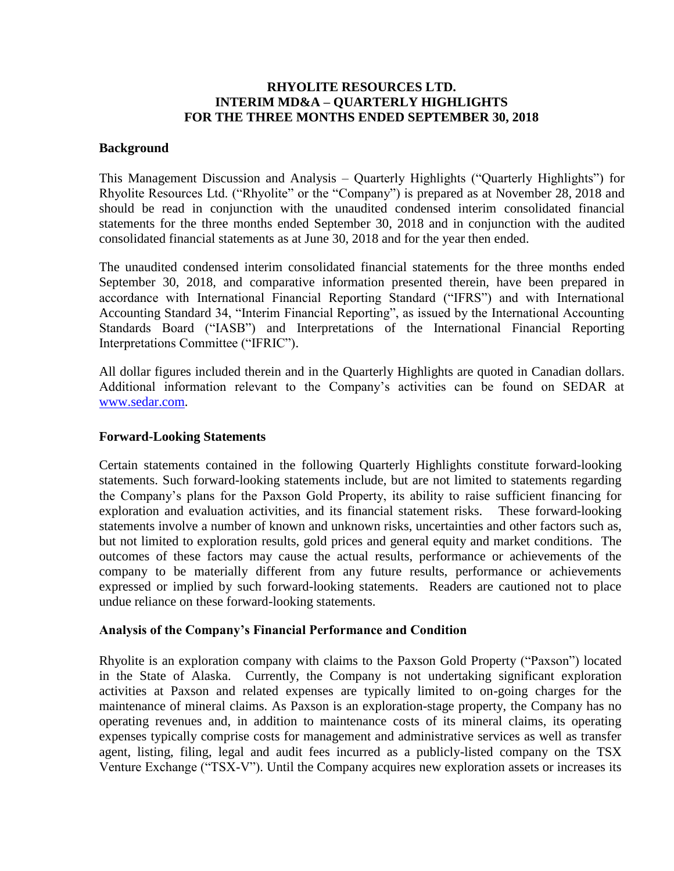## **RHYOLITE RESOURCES LTD. INTERIM MD&A – QUARTERLY HIGHLIGHTS FOR THE THREE MONTHS ENDED SEPTEMBER 30, 2018**

### **Background**

This Management Discussion and Analysis – Quarterly Highlights ("Quarterly Highlights") for Rhyolite Resources Ltd. ("Rhyolite" or the "Company") is prepared as at November 28, 2018 and should be read in conjunction with the unaudited condensed interim consolidated financial statements for the three months ended September 30, 2018 and in conjunction with the audited consolidated financial statements as at June 30, 2018 and for the year then ended.

The unaudited condensed interim consolidated financial statements for the three months ended September 30, 2018, and comparative information presented therein, have been prepared in accordance with International Financial Reporting Standard ("IFRS") and with International Accounting Standard 34, "Interim Financial Reporting", as issued by the International Accounting Standards Board ("IASB") and Interpretations of the International Financial Reporting Interpretations Committee ("IFRIC").

All dollar figures included therein and in the Quarterly Highlights are quoted in Canadian dollars. Additional information relevant to the Company's activities can be found on SEDAR at [www.sedar.com.](http://www.sedar.com/)

#### **Forward-Looking Statements**

Certain statements contained in the following Quarterly Highlights constitute forward-looking statements. Such forward-looking statements include, but are not limited to statements regarding the Company's plans for the Paxson Gold Property, its ability to raise sufficient financing for exploration and evaluation activities, and its financial statement risks. These forward-looking statements involve a number of known and unknown risks, uncertainties and other factors such as, but not limited to exploration results, gold prices and general equity and market conditions. The outcomes of these factors may cause the actual results, performance or achievements of the company to be materially different from any future results, performance or achievements expressed or implied by such forward-looking statements. Readers are cautioned not to place undue reliance on these forward-looking statements.

## **Analysis of the Company's Financial Performance and Condition**

Rhyolite is an exploration company with claims to the Paxson Gold Property ("Paxson") located in the State of Alaska. Currently, the Company is not undertaking significant exploration activities at Paxson and related expenses are typically limited to on-going charges for the maintenance of mineral claims. As Paxson is an exploration-stage property, the Company has no operating revenues and, in addition to maintenance costs of its mineral claims, its operating expenses typically comprise costs for management and administrative services as well as transfer agent, listing, filing, legal and audit fees incurred as a publicly-listed company on the TSX Venture Exchange ("TSX-V"). Until the Company acquires new exploration assets or increases its